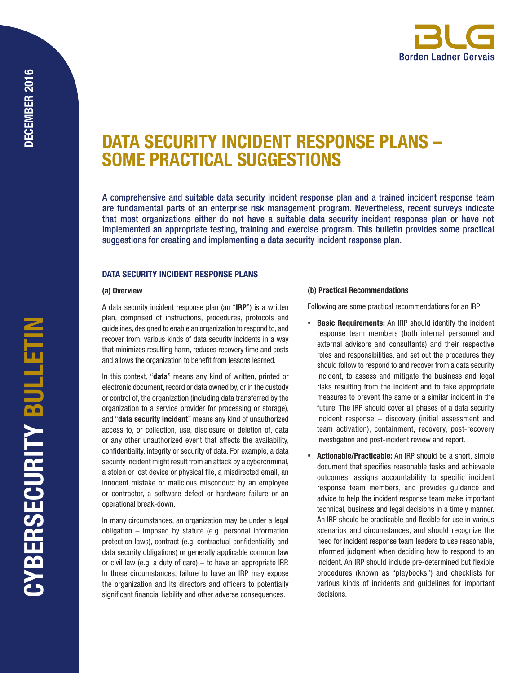# DATA SECURITY INCIDENT RESPONSE PLANS – SOME PRACTICAL SUGGESTIONS

A comprehensive and suitable data security incident response plan and a trained incident response team are fundamental parts of an enterprise risk management program. Nevertheless, recent surveys indicate that most organizations either do not have a suitable data security incident response plan or have not implemented an appropriate testing, training and exercise program. This bulletin provides some practical suggestions for creating and implementing a data security incident response plan.

## DATA SECURITY INCIDENT RESPONSE PLANS

#### (a) Overview

A data security incident response plan (an "IRP") is a written plan, comprised of instructions, procedures, protocols and guidelines, designed to enable an organization to respond to, and recover from, various kinds of data security incidents in a way that minimizes resulting harm, reduces recovery time and costs and allows the organization to benefit from lessons learned.

In this context, "data" means any kind of written, printed or electronic document, record or data owned by, or in the custody or control of, the organization (including data transferred by the organization to a service provider for processing or storage), and "data security incident" means any kind of unauthorized access to, or collection, use, disclosure or deletion of, data or any other unauthorized event that affects the availability, confidentiality, integrity or security of data. For example, a data security incident might result from an attack by a cybercriminal, a stolen or lost device or physical file, a misdirected email, an innocent mistake or malicious misconduct by an employee or contractor, a software defect or hardware failure or an operational break-down.

In many circumstances, an organization may be under a legal obligation – imposed by statute (e.g. personal information protection laws), contract (e.g. contractual confidentiality and data security obligations) or generally applicable common law or civil law (e.g. a duty of care) – to have an appropriate IRP. In those circumstances, failure to have an IRP may expose the organization and its directors and officers to potentially significant financial liability and other adverse consequences.

### (b) Practical Recommendations

Following are some practical recommendations for an IRP:

- **Basic Requirements:** An IRP should identify the incident response team members (both internal personnel and external advisors and consultants) and their respective roles and responsibilities, and set out the procedures they should follow to respond to and recover from a data security incident, to assess and mitigate the business and legal risks resulting from the incident and to take appropriate measures to prevent the same or a similar incident in the future. The IRP should cover all phases of a data security incident response – discovery (initial assessment and team activation), containment, recovery, post-recovery investigation and post-incident review and report.
- **Actionable/Practicable:** An IRP should be a short, simple document that specifies reasonable tasks and achievable outcomes, assigns accountability to specific incident response team members, and provides guidance and advice to help the incident response team make important technical, business and legal decisions in a timely manner. An IRP should be practicable and flexible for use in various scenarios and circumstances, and should recognize the need for incident response team leaders to use reasonable, informed judgment when deciding how to respond to an incident. An IRP should include pre-determined but flexible procedures (known as "playbooks") and checklists for various kinds of incidents and guidelines for important decisions.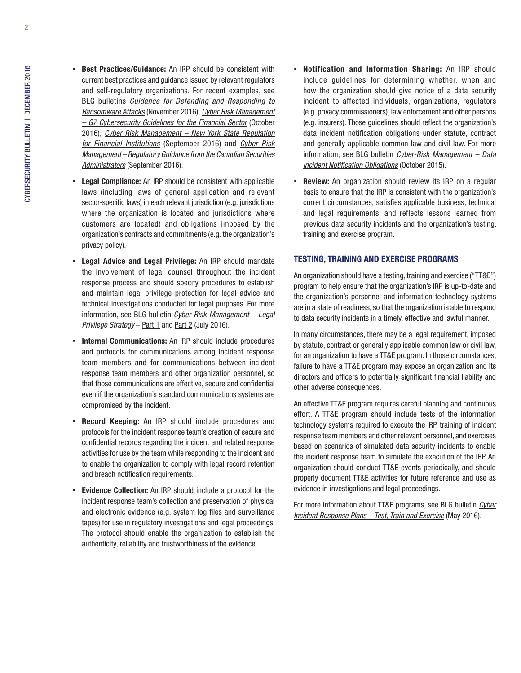- **East Practices/Guidance:** An IRP should be consistent with current best practices and guidance issued by relevant regulators and self-regulatory organizations. For recent examples, see BLG bulletins *[Guidance for Defending and Responding to](http://www.blg.com/en/NewsAndPublications/Documents/Publication_4746_1033.pdf)  [Ransomware Attacks](http://www.blg.com/en/NewsAndPublications/Documents/Publication_4746_1033.pdf)* (November 2016), *[Cyber Risk Management](http://www.blg.com/en/NewsAndPublications/Documents/Publication_4694_1033.pdf)  [– G7 Cybersecurity Guidelines for the Financial Sector](http://www.blg.com/en/NewsAndPublications/Documents/Publication_4694_1033.pdf)* (October 2016), *[Cyber Risk Management – New York State Regulation](http://www.blg.com/en/NewsAndPublications/Documents/Publication_4657_1033.pdf)  [for Financial Institutions](http://www.blg.com/en/NewsAndPublications/Documents/Publication_4657_1033.pdf)* (September 2016) and *[Cyber Risk](http://www.blg.com/en/NewsAndPublications/Documents/Publication_4673_1033.pdf)  [Management – Regulatory Guidance from the Canadian Securities](http://www.blg.com/en/NewsAndPublications/Documents/Publication_4673_1033.pdf)  [Administrators](http://www.blg.com/en/NewsAndPublications/Documents/Publication_4673_1033.pdf)* (September 2016).
- **Legal Compliance:** An IRP should be consistent with applicable laws (including laws of general application and relevant sector-specific laws) in each relevant jurisdiction (e.g. jurisdictions where the organization is located and jurisdictions where customers are located) and obligations imposed by the organization's contracts and commitments (e.g. the organization's privacy policy).
- Legal Advice and Legal Privilege: An IRP should mandate the involvement of legal counsel throughout the incident response process and should specify procedures to establish and maintain legal privilege protection for legal advice and technical investigations conducted for legal purposes. For more information, see BLG bulletin *Cyber Risk Management – Legal Privilege Strategy* – [Part 1](http://www.blg.com/en/NewsAndPublications/Documents/Publication_4602_1033.pdf) and [Part 2](http://www.blg.com/en/NewsAndPublications/Documents/Publication_4603_1033.pdf) (July 2016).
- **· Internal Communications:** An IRP should include procedures and protocols for communications among incident response team members and for communications between incident response team members and other organization personnel, so that those communications are effective, secure and confidential even if the organization's standard communications systems are compromised by the incident.
- **Record Keeping:** An IRP should include procedures and protocols for the incident response team's creation of secure and confidential records regarding the incident and related response activities for use by the team while responding to the incident and to enable the organization to comply with legal record retention and breach notification requirements.
- **Evidence Collection:** An IRP should include a protocol for the incident response team's collection and preservation of physical and electronic evidence (e.g. system log files and surveillance tapes) for use in regulatory investigations and legal proceedings. The protocol should enable the organization to establish the authenticity, reliability and trustworthiness of the evidence.
- Notification and Information Sharing: An IRP should include guidelines for determining whether, when and how the organization should give notice of a data security incident to affected individuals, organizations, regulators (e.g. privacy commissioners), law enforcement and other persons (e.g. insurers). Those guidelines should reflect the organization's data incident notification obligations under statute, contract and generally applicable common law and civil law. For more information, see BLG bulletin *[Cyber-Risk Management – Data](http://www.blg.com/en/NewsAndPublications/Documents/Publication_4294_1033.pdf) [Incident Notification Obligations](http://www.blg.com/en/NewsAndPublications/Documents/Publication_4294_1033.pdf)* (October 2015).
- **Review:** An organization should review its IRP on a regular basis to ensure that the IRP is consistent with the organization's current circumstances, satisfies applicable business, technical and legal requirements, and reflects lessons learned from previous data security incidents and the organization's testing, training and exercise program.

## TESTING, TRAINING AND EXERCISE PROGRAMS

An organization should have a testing, training and exercise ("TT&E") program to help ensure that the organization's IRP is up-to-date and the organization's personnel and information technology systems are in a state of readiness, so that the organization is able to respond to data security incidents in a timely, effective and lawful manner.

In many circumstances, there may be a legal requirement, imposed by statute, contract or generally applicable common law or civil law, for an organization to have a TT&E program. In those circumstances, failure to have a TT&E program may expose an organization and its directors and officers to potentially significant financial liability and other adverse consequences.

An effective TT&E program requires careful planning and continuous effort. A TT&E program should include tests of the information technology systems required to execute the IRP, training of incident response team members and other relevant personnel, and exercises based on scenarios of simulated data security incidents to enable the incident response team to simulate the execution of the IRP. An organization should conduct TT&E events periodically, and should properly document TT&E activities for future reference and use as evidence in investigations and legal proceedings.

For more information about TT&E programs, see BLG bulletin *[Cyber](http://www.blg.com/en/NewsAndPublications/Documents/Publication_4516_1033.pdf) [Incident Response Plans – Test, Train and Exercise](http://www.blg.com/en/NewsAndPublications/Documents/Publication_4516_1033.pdf)* (May 2016).